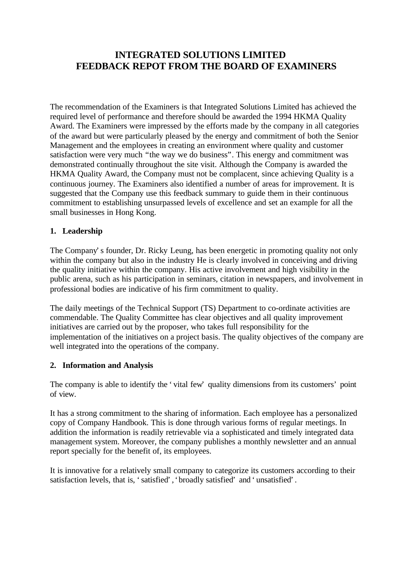# **INTEGRATED SOLUTIONS LIMITED FEEDBACK REPOT FROM THE BOARD OF EXAMINERS**

The recommendation of the Examiners is that Integrated Solutions Limited has achieved the required level of performance and therefore should be awarded the 1994 HKMA Quality Award. The Examiners were impressed by the efforts made by the company in all categories of the award but were particularly pleased by the energy and commitment of both the Senior Management and the employees in creating an environment where quality and customer satisfaction were very much "the way we do business". This energy and commitment was demonstrated continually throughout the site visit. Although the Company is awarded the HKMA Quality Award, the Company must not be complacent, since achieving Quality is a continuous journey. The Examiners also identified a number of areas for improvement. It is suggested that the Company use this feedback summary to guide them in their continuous commitment to establishing unsurpassed levels of excellence and set an example for all the small businesses in Hong Kong.

## **1. Leadership**

The Company's founder, Dr. Ricky Leung, has been energetic in promoting quality not only within the company but also in the industry He is clearly involved in conceiving and driving the quality initiative within the company. His active involvement and high visibility in the public arena, such as his participation in seminars, citation in newspapers, and involvement in professional bodies are indicative of his firm commitment to quality.

The daily meetings of the Technical Support (TS) Department to co-ordinate activities are commendable. The Quality Committee has clear objectives and all quality improvement initiatives are carried out by the proposer, who takes full responsibility for the implementation of the initiatives on a project basis. The quality objectives of the company are well integrated into the operations of the company.

## **2. Information and Analysis**

The company is able to identify the 'vital few' quality dimensions from its customers' point of view.

It has a strong commitment to the sharing of information. Each employee has a personalized copy of Company Handbook. This is done through various forms of regular meetings. In addition the information is readily retrievable via a sophisticated and timely integrated data management system. Moreover, the company publishes a monthly newsletter and an annual report specially for the benefit of, its employees.

It is innovative for a relatively small company to categorize its customers according to their satisfaction levels, that is, 'satisfied', 'broadly satisfied' and 'unsatisfied'.